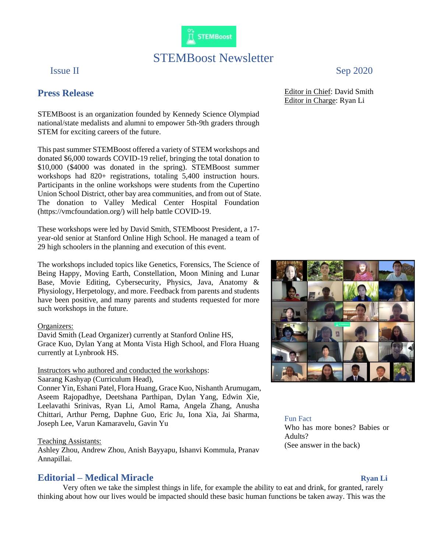

# STEMBoost Newsletter

# **Press Release**

STEMBoost is an organization founded by Kennedy Science Olympiad national/state medalists and alumni to empower 5th-9th graders through STEM for exciting careers of the future.

This past summer STEMBoost offered a variety of STEM workshops and donated \$6,000 towards COVID-19 relief, bringing the total donation to \$10,000 (\$4000 was donated in the spring). STEMBoost summer workshops had 820+ registrations, totaling 5,400 instruction hours. Participants in the online workshops were students from the Cupertino Union School District, other bay area communities, and from out of State. The donation to Valley Medical Center Hospital Foundation (https://vmcfoundation.org/) will help battle COVID-19.

These workshops were led by David Smith, STEMboost President, a 17 year-old senior at Stanford Online High School. He managed a team of 29 high schoolers in the planning and execution of this event.

The workshops included topics like Genetics, Forensics, The Science of Being Happy, Moving Earth, Constellation, Moon Mining and Lunar Base, Movie Editing, Cybersecurity, Physics, Java, Anatomy & Physiology, Herpetology, and more. Feedback from parents and students have been positive, and many parents and students requested for more such workshops in the future.

#### Organizers:

David Smith (Lead Organizer) currently at Stanford Online HS, Grace Kuo, Dylan Yang at Monta Vista High School, and Flora Huang currently at Lynbrook HS.

### Instructors who authored and conducted the workshops:

Saarang Kashyap (Curriculum Head),

Conner Yin, Eshani Patel, Flora Huang, Grace Kuo, Nishanth Arumugam, Aseem Rajopadhye, Deetshana Parthipan, Dylan Yang, Edwin Xie, Leelavathi Srinivas, Ryan Li, Amol Rama, Angela Zhang, Anusha Chittari, Arthur Perng, Daphne Guo, Eric Ju, Iona Xia, Jai Sharma, Joseph Lee, Varun Kamaravelu, Gavin Yu

#### Teaching Assistants:

Ashley Zhou, Andrew Zhou, Anish Bayyapu, Ishanvi Kommula, Pranav Annapillai.

## **Editorial – Medical Miracle Ryan Li**

Very often we take the simplest things in life, for example the ability to eat and drink, for granted, rarely thinking about how our lives would be impacted should these basic human functions be taken away. This was the

Issue II Sep 2020

Editor in Chief: David Smith Editor in Charge: Ryan Li



#### Fun Fact

Who has more bones? Babies or Adults? (See answer in the back)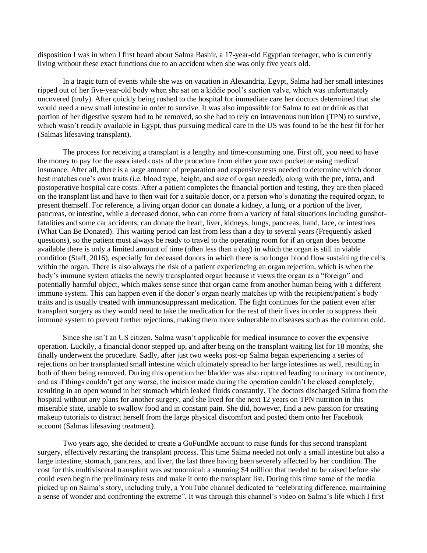disposition I was in when I first heard about Salma Bashir, a 17-year-old Egyptian teenager, who is currently living without these exact functions due to an accident when she was only five years old.

In a tragic turn of events while she was on vacation in Alexandria, Egypt, Salma had her small intestines ripped out of her five-year-old body when she sat on a kiddie pool's suction valve, which was unfortunately uncovered (truly). After quickly being rushed to the hospital for immediate care her doctors determined that she would need a new small intestine in order to survive. It was also impossible for Salma to eat or drink as that portion of her digestive system had to be removed, so she had to rely on intravenous nutrition (TPN) to survive, which wasn't readily available in Egypt, thus pursuing medical care in the US was found to be the best fit for her (Salmas lifesaving transplant).

The process for receiving a transplant is a lengthy and time-consuming one. First off, you need to have the money to pay for the associated costs of the procedure from either your own pocket or using medical insurance. After all, there is a large amount of preparation and expensive tests needed to determine which donor best matches one's own traits (i.e. blood type, height, and size of organ needed), along with the pre, intra, and postoperative hospital care costs. After a patient completes the financial portion and testing, they are then placed on the transplant list and have to then wait for a suitable donor, or a person who's donating the required organ, to present themself. For reference, a living organ donor can donate a kidney, a lung, or a portion of the liver, pancreas, or intestine, while a deceased donor, who can come from a variety of fatal situations including gunshotfatalities and some car accidents, can donate the heart, liver, kidneys, lungs, pancreas, hand, face, or intestines (What Can Be Donated). This waiting period can last from less than a day to several years (Frequently asked questions), so the patient must always be ready to travel to the operating room for if an organ does become available there is only a limited amount of time (often less than a day) in which the organ is still in viable condition (Staff, 2016), especially for deceased donors in which there is no longer blood flow sustaining the cells within the organ. There is also always the risk of a patient experiencing an organ rejection, which is when the body's immune system attacks the newly transplanted organ because it views the organ as a "foreign" and potentially harmful object, which makes sense since that organ came from another human being with a different immune system. This can happen even if the donor's organ nearly matches up with the recipient/patient's body traits and is usually treated with immunosuppressant medication. The fight continues for the patient even after transplant surgery as they would need to take the medication for the rest of their lives in order to suppress their immune system to prevent further rejections, making them more vulnerable to diseases such as the common cold.

Since she isn't an US citizen, Salma wasn't applicable for medical insurance to cover the expensive operation. Luckily, a financial donor stepped up, and after being on the transplant waiting list for 18 months, she finally underwent the procedure. Sadly, after just two weeks post-op Salma began experiencing a series of rejections on her transplanted small intestine which ultimately spread to her large intestines as well, resulting in both of them being removed. During this operation her bladder was also ruptured leading to urinary incontinence, and as if things couldn't get any worse, the incision made during the operation couldn't be closed completely, resulting in an open wound in her stomach which leaked fluids constantly. The doctors discharged Salma from the hospital without any plans for another surgery, and she lived for the next 12 years on TPN nutrition in this miserable state, unable to swallow food and in constant pain. She did, however, find a new passion for creating makeup tutorials to distract herself from the large physical discomfort and posted them onto her Facebook account (Salmas lifesaving treatment).

Two years ago, she decided to create a GoFundMe account to raise funds for this second transplant surgery, effectively restarting the transplant process. This time Salma needed not only a small intestine but also a large intestine, stomach, pancreas, and liver, the last three having been severely affected by her condition. The cost for this multivisceral transplant was astronomical: a stunning \$4 million that needed to be raised before she could even begin the preliminary tests and make it onto the transplant list. During this time some of the media picked up on Salma's story, including truly, a YouTube channel dedicated to "celebrating difference, maintaining a sense of wonder and confronting the extreme". It was through this channel's video on Salma's life which I first